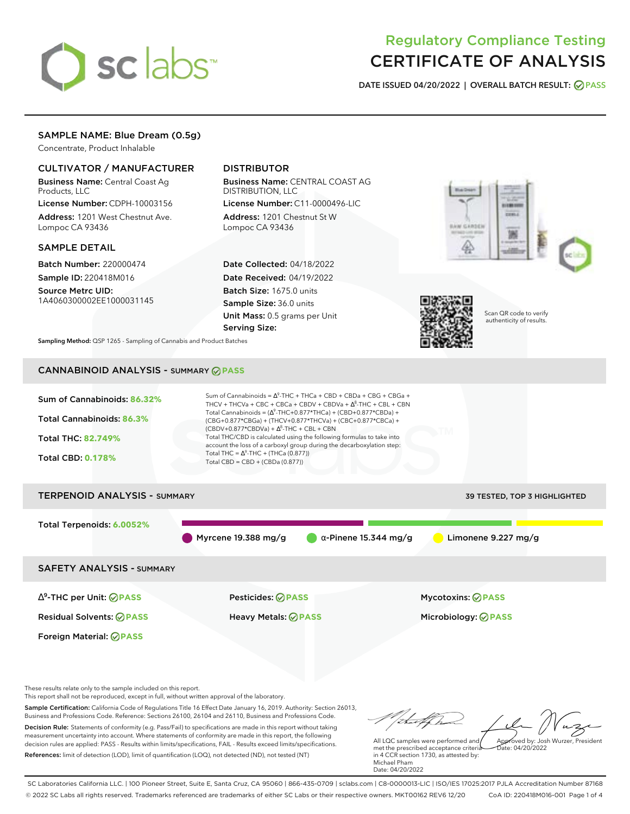# sclabs<sup>\*</sup>

# Regulatory Compliance Testing CERTIFICATE OF ANALYSIS

**DATE ISSUED 04/20/2022 | OVERALL BATCH RESULT: PASS**

# SAMPLE NAME: Blue Dream (0.5g)

Concentrate, Product Inhalable

# CULTIVATOR / MANUFACTURER

Business Name: Central Coast Ag Products, LLC

License Number: CDPH-10003156 Address: 1201 West Chestnut Ave. Lompoc CA 93436

# SAMPLE DETAIL

Batch Number: 220000474 Sample ID: 220418M016 Source Metrc UID: 1A4060300002EE1000031145

# DISTRIBUTOR

Business Name: CENTRAL COAST AG DISTRIBUTION, LLC License Number: C11-0000496-LIC

Address: 1201 Chestnut St W Lompoc CA 93436

Date Collected: 04/18/2022 Date Received: 04/19/2022 Batch Size: 1675.0 units Sample Size: 36.0 units Unit Mass: 0.5 grams per Unit Serving Size:





Scan QR code to verify authenticity of results.

**Sampling Method:** QSP 1265 - Sampling of Cannabis and Product Batches

# CANNABINOID ANALYSIS - SUMMARY **PASS**



This report shall not be reproduced, except in full, without written approval of the laboratory.

Sample Certification: California Code of Regulations Title 16 Effect Date January 16, 2019. Authority: Section 26013, Business and Professions Code. Reference: Sections 26100, 26104 and 26110, Business and Professions Code. Decision Rule: Statements of conformity (e.g. Pass/Fail) to specifications are made in this report without taking measurement uncertainty into account. Where statements of conformity are made in this report, the following decision rules are applied: PASS - Results within limits/specifications, FAIL - Results exceed limits/specifications.

References: limit of detection (LOD), limit of quantification (LOQ), not detected (ND), not tested (NT)

All LQC samples were performed and Approved by: Josh Wurzer, President  $hat: 04/20/2022$ 

met the prescribed acceptance criteria in 4 CCR section 1730, as attested by: Michael Pham Date: 04/20/2022

SC Laboratories California LLC. | 100 Pioneer Street, Suite E, Santa Cruz, CA 95060 | 866-435-0709 | sclabs.com | C8-0000013-LIC | ISO/IES 17025:2017 PJLA Accreditation Number 87168 © 2022 SC Labs all rights reserved. Trademarks referenced are trademarks of either SC Labs or their respective owners. MKT00162 REV6 12/20 CoA ID: 220418M016-001 Page 1 of 4